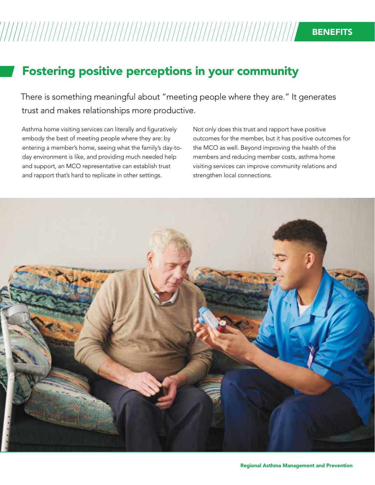## Fostering positive perceptions in your community

There is something meaningful about "meeting people where they are." It generates trust and makes relationships more productive.

Asthma home visiting services can literally and figuratively embody the best of meeting people where they are: by entering a member's home, seeing what the family's day-today environment is like, and providing much needed help and support, an MCO representative can establish trust and rapport that's hard to replicate in other settings.

Not only does this trust and rapport have positive outcomes for the member, but it has positive outcomes for the MCO as well. Beyond improving the health of the members and reducing member costs, asthma home visiting services can improve community relations and strengthen local connections.